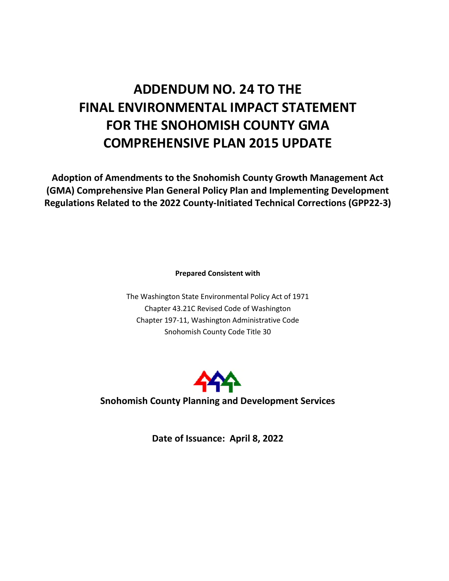# **ADDENDUM NO. 24 TO THE FINAL ENVIRONMENTAL IMPACT STATEMENT FOR THE SNOHOMISH COUNTY GMA COMPREHENSIVE PLAN 2015 UPDATE**

**Adoption of Amendments to the Snohomish County Growth Management Act (GMA) Comprehensive Plan General Policy Plan and Implementing Development Regulations Related to the 2022 County-Initiated Technical Corrections (GPP22-3)**

**Prepared Consistent with**

The Washington State Environmental Policy Act of 1971 Chapter 43.21C Revised Code of Washington Chapter 197-11, Washington Administrative Code Snohomish County Code Title 30



**Snohomish County Planning and Development Services**

**Date of Issuance: April 8, 2022**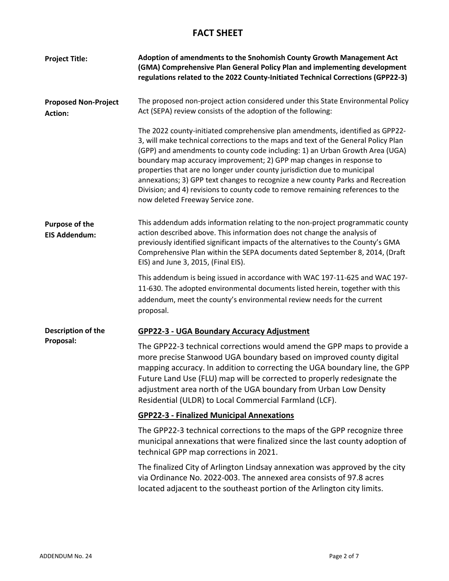# **FACT SHEET**

| <b>Project Title:</b>                         | Adoption of amendments to the Snohomish County Growth Management Act<br>(GMA) Comprehensive Plan General Policy Plan and implementing development<br>regulations related to the 2022 County-Initiated Technical Corrections (GPP22-3)                                                                                                                                                                                                                                                                                                                                                                              |
|-----------------------------------------------|--------------------------------------------------------------------------------------------------------------------------------------------------------------------------------------------------------------------------------------------------------------------------------------------------------------------------------------------------------------------------------------------------------------------------------------------------------------------------------------------------------------------------------------------------------------------------------------------------------------------|
| <b>Proposed Non-Project</b><br><b>Action:</b> | The proposed non-project action considered under this State Environmental Policy<br>Act (SEPA) review consists of the adoption of the following:                                                                                                                                                                                                                                                                                                                                                                                                                                                                   |
|                                               | The 2022 county-initiated comprehensive plan amendments, identified as GPP22-<br>3, will make technical corrections to the maps and text of the General Policy Plan<br>(GPP) and amendments to county code including: 1) an Urban Growth Area (UGA)<br>boundary map accuracy improvement; 2) GPP map changes in response to<br>properties that are no longer under county jurisdiction due to municipal<br>annexations; 3) GPP text changes to recognize a new county Parks and Recreation<br>Division; and 4) revisions to county code to remove remaining references to the<br>now deleted Freeway Service zone. |
| <b>Purpose of the</b><br><b>EIS Addendum:</b> | This addendum adds information relating to the non-project programmatic county<br>action described above. This information does not change the analysis of<br>previously identified significant impacts of the alternatives to the County's GMA<br>Comprehensive Plan within the SEPA documents dated September 8, 2014, (Draft<br>EIS) and June 3, 2015, (Final EIS).                                                                                                                                                                                                                                             |
|                                               | This addendum is being issued in accordance with WAC 197-11-625 and WAC 197-<br>11-630. The adopted environmental documents listed herein, together with this<br>addendum, meet the county's environmental review needs for the current<br>proposal.                                                                                                                                                                                                                                                                                                                                                               |
| Description of the<br>Proposal:               | <b>GPP22-3 - UGA Boundary Accuracy Adjustment</b>                                                                                                                                                                                                                                                                                                                                                                                                                                                                                                                                                                  |
|                                               | The GPP22-3 technical corrections would amend the GPP maps to provide a<br>more precise Stanwood UGA boundary based on improved county digital<br>mapping accuracy. In addition to correcting the UGA boundary line, the GPP<br>Future Land Use (FLU) map will be corrected to properly redesignate the<br>adjustment area north of the UGA boundary from Urban Low Density<br>Residential (ULDR) to Local Commercial Farmland (LCF).                                                                                                                                                                              |
|                                               | <b>GPP22-3 - Finalized Municipal Annexations</b>                                                                                                                                                                                                                                                                                                                                                                                                                                                                                                                                                                   |
|                                               | The GPP22-3 technical corrections to the maps of the GPP recognize three<br>municipal annexations that were finalized since the last county adoption of<br>technical GPP map corrections in 2021.                                                                                                                                                                                                                                                                                                                                                                                                                  |
|                                               | The finalized City of Arlington Lindsay annexation was approved by the city<br>via Ordinance No. 2022-003. The annexed area consists of 97.8 acres<br>located adjacent to the southeast portion of the Arlington city limits.                                                                                                                                                                                                                                                                                                                                                                                      |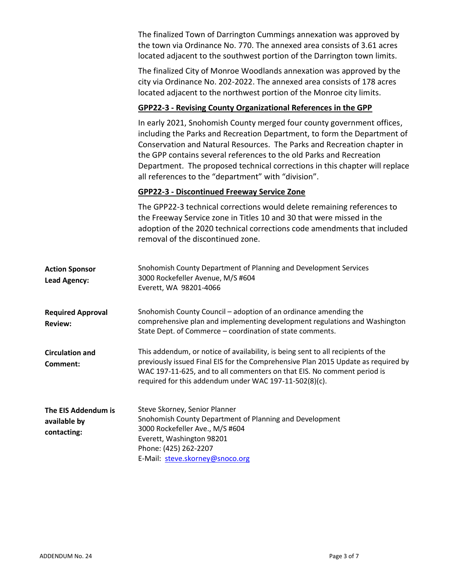The finalized Town of Darrington Cummings annexation was approved by the town via Ordinance No. 770. The annexed area consists of 3.61 acres located adjacent to the southwest portion of the Darrington town limits.

The finalized City of Monroe Woodlands annexation was approved by the city via Ordinance No. 202-2022. The annexed area consists of 178 acres located adjacent to the northwest portion of the Monroe city limits.

# **GPP22-3 - Revising County Organizational References in the GPP**

In early 2021, Snohomish County merged four county government offices, including the Parks and Recreation Department, to form the Department of Conservation and Natural Resources. The Parks and Recreation chapter in the GPP contains several references to the old Parks and Recreation Department. The proposed technical corrections in this chapter will replace all references to the "department" with "division".

# **GPP22-3 - Discontinued Freeway Service Zone**

|                                                    | The GPP22-3 technical corrections would delete remaining references to<br>the Freeway Service zone in Titles 10 and 30 that were missed in the<br>adoption of the 2020 technical corrections code amendments that included<br>removal of the discontinued zone.                                            |
|----------------------------------------------------|------------------------------------------------------------------------------------------------------------------------------------------------------------------------------------------------------------------------------------------------------------------------------------------------------------|
| <b>Action Sponsor</b><br><b>Lead Agency:</b>       | Snohomish County Department of Planning and Development Services<br>3000 Rockefeller Avenue, M/S #604<br>Everett, WA 98201-4066                                                                                                                                                                            |
| <b>Required Approval</b><br><b>Review:</b>         | Snohomish County Council – adoption of an ordinance amending the<br>comprehensive plan and implementing development regulations and Washington<br>State Dept. of Commerce - coordination of state comments.                                                                                                |
| <b>Circulation and</b><br>Comment:                 | This addendum, or notice of availability, is being sent to all recipients of the<br>previously issued Final EIS for the Comprehensive Plan 2015 Update as required by<br>WAC 197-11-625, and to all commenters on that EIS. No comment period is<br>required for this addendum under WAC 197-11-502(8)(c). |
| The EIS Addendum is<br>available by<br>contacting: | Steve Skorney, Senior Planner<br>Snohomish County Department of Planning and Development<br>3000 Rockefeller Ave., M/S #604<br>Everett, Washington 98201<br>Phone: (425) 262-2207<br>E-Mail: steve.skorney@snoco.org                                                                                       |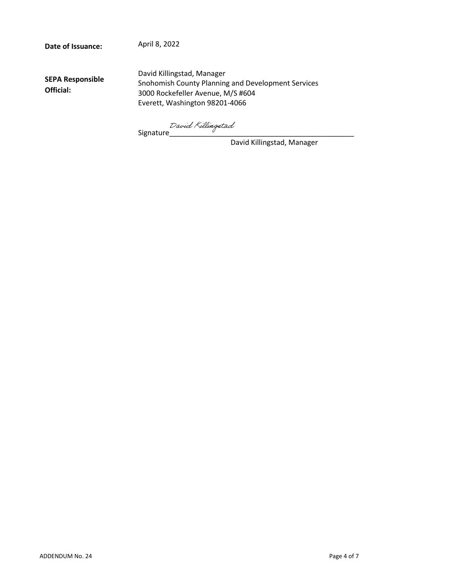**Date of Issuance:**

April 8, 2022

**SEPA Responsible Official:**

David Killingstad, Manager Snohomish County Planning and Development Services 3000 Rockefeller Avenue, M/S #604 Everett, Washington 98201-4066

Signatur[e\\_\\_\\_\\_\\_\\_\\_\\_\\_\\_\\_\\_\\_\\_\\_\\_\\_\\_\\_\\_\\_\\_\\_\\_\\_\\_\\_\\_\\_\\_\\_\\_\\_\\_\\_\\_\\_\\_\\_\\_\\_\\_\\_\\_\\_\\_](https://na3.documents.adobe.com/verifier?tx=CBJCHBCAABAAGcmj-wq4Rfe7mzY1R2TjNxA6GVGyaMGc)

David Killingstad, Manager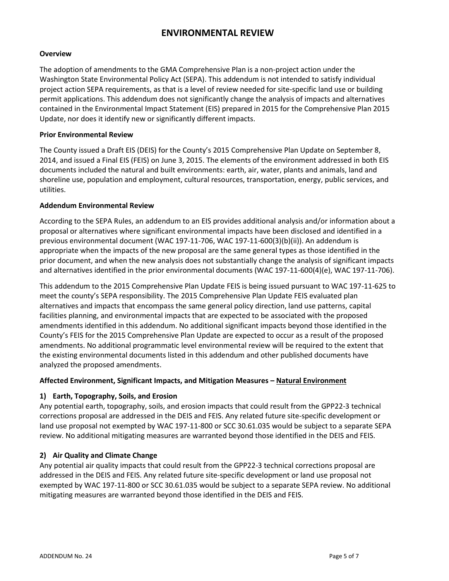# **ENVIRONMENTAL REVIEW**

# **Overview**

The adoption of amendments to the GMA Comprehensive Plan is a non-project action under the Washington State Environmental Policy Act (SEPA). This addendum is not intended to satisfy individual project action SEPA requirements, as that is a level of review needed for site-specific land use or building permit applications. This addendum does not significantly change the analysis of impacts and alternatives contained in the Environmental Impact Statement (EIS) prepared in 2015 for the Comprehensive Plan 2015 Update, nor does it identify new or significantly different impacts.

# **Prior Environmental Review**

The County issued a Draft EIS (DEIS) for the County's 2015 Comprehensive Plan Update on September 8, 2014, and issued a Final EIS (FEIS) on June 3, 2015. The elements of the environment addressed in both EIS documents included the natural and built environments: earth, air, water, plants and animals, land and shoreline use, population and employment, cultural resources, transportation, energy, public services, and utilities.

# **Addendum Environmental Review**

According to the SEPA Rules, an addendum to an EIS provides additional analysis and/or information about a proposal or alternatives where significant environmental impacts have been disclosed and identified in a previous environmental document (WAC 197-11-706, WAC 197-11-600(3)(b)(ii)). An addendum is appropriate when the impacts of the new proposal are the same general types as those identified in the prior document, and when the new analysis does not substantially change the analysis of significant impacts and alternatives identified in the prior environmental documents (WAC 197-11-600(4)(e), WAC 197-11-706).

This addendum to the 2015 Comprehensive Plan Update FEIS is being issued pursuant to WAC 197-11-625 to meet the county's SEPA responsibility. The 2015 Comprehensive Plan Update FEIS evaluated plan alternatives and impacts that encompass the same general policy direction, land use patterns, capital facilities planning, and environmental impacts that are expected to be associated with the proposed amendments identified in this addendum. No additional significant impacts beyond those identified in the County's FEIS for the 2015 Comprehensive Plan Update are expected to occur as a result of the proposed amendments. No additional programmatic level environmental review will be required to the extent that the existing environmental documents listed in this addendum and other published documents have analyzed the proposed amendments.

# **Affected Environment, Significant Impacts, and Mitigation Measures – Natural Environment**

# **1) Earth, Topography, Soils, and Erosion**

Any potential earth, topography, soils, and erosion impacts that could result from the GPP22-3 technical corrections proposal are addressed in the DEIS and FEIS. Any related future site-specific development or land use proposal not exempted by WAC 197-11-800 or SCC 30.61.035 would be subject to a separate SEPA review. No additional mitigating measures are warranted beyond those identified in the DEIS and FEIS.

# **2) Air Quality and Climate Change**

Any potential air quality impacts that could result from the GPP22-3 technical corrections proposal are addressed in the DEIS and FEIS. Any related future site-specific development or land use proposal not exempted by WAC 197-11-800 or SCC 30.61.035 would be subject to a separate SEPA review. No additional mitigating measures are warranted beyond those identified in the DEIS and FEIS.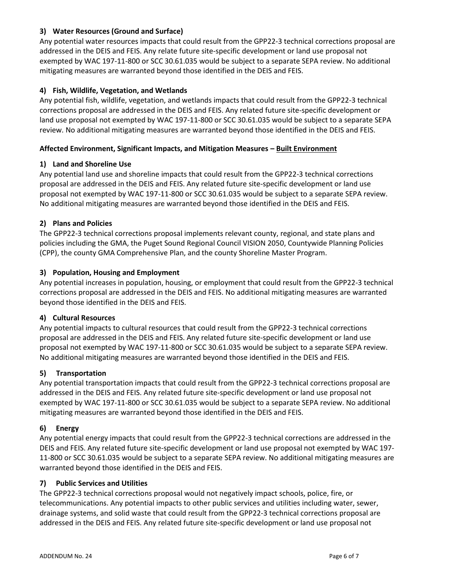# **3) Water Resources (Ground and Surface)**

Any potential water resources impacts that could result from the GPP22-3 technical corrections proposal are addressed in the DEIS and FEIS. Any relate future site-specific development or land use proposal not exempted by WAC 197-11-800 or SCC 30.61.035 would be subject to a separate SEPA review. No additional mitigating measures are warranted beyond those identified in the DEIS and FEIS.

# **4) Fish, Wildlife, Vegetation, and Wetlands**

Any potential fish, wildlife, vegetation, and wetlands impacts that could result from the GPP22-3 technical corrections proposal are addressed in the DEIS and FEIS. Any related future site-specific development or land use proposal not exempted by WAC 197-11-800 or SCC 30.61.035 would be subject to a separate SEPA review. No additional mitigating measures are warranted beyond those identified in the DEIS and FEIS.

# **Affected Environment, Significant Impacts, and Mitigation Measures – Built Environment**

# **1) Land and Shoreline Use**

Any potential land use and shoreline impacts that could result from the GPP22-3 technical corrections proposal are addressed in the DEIS and FEIS. Any related future site-specific development or land use proposal not exempted by WAC 197-11-800 or SCC 30.61.035 would be subject to a separate SEPA review. No additional mitigating measures are warranted beyond those identified in the DEIS and FEIS.

# **2) Plans and Policies**

The GPP22-3 technical corrections proposal implements relevant county, regional, and state plans and policies including the GMA, the Puget Sound Regional Council VISION 2050, Countywide Planning Policies (CPP), the county GMA Comprehensive Plan, and the county Shoreline Master Program.

# **3) Population, Housing and Employment**

Any potential increases in population, housing, or employment that could result from the GPP22-3 technical corrections proposal are addressed in the DEIS and FEIS. No additional mitigating measures are warranted beyond those identified in the DEIS and FEIS.

# **4) Cultural Resources**

Any potential impacts to cultural resources that could result from the GPP22-3 technical corrections proposal are addressed in the DEIS and FEIS. Any related future site-specific development or land use proposal not exempted by WAC 197-11-800 or SCC 30.61.035 would be subject to a separate SEPA review. No additional mitigating measures are warranted beyond those identified in the DEIS and FEIS.

# **5) Transportation**

Any potential transportation impacts that could result from the GPP22-3 technical corrections proposal are addressed in the DEIS and FEIS. Any related future site-specific development or land use proposal not exempted by WAC 197-11-800 or SCC 30.61.035 would be subject to a separate SEPA review. No additional mitigating measures are warranted beyond those identified in the DEIS and FEIS.

# **6) Energy**

Any potential energy impacts that could result from the GPP22-3 technical corrections are addressed in the DEIS and FEIS. Any related future site-specific development or land use proposal not exempted by WAC 197- 11-800 or SCC 30.61.035 would be subject to a separate SEPA review. No additional mitigating measures are warranted beyond those identified in the DEIS and FEIS.

# **7) Public Services and Utilities**

The GPP22-3 technical corrections proposal would not negatively impact schools, police, fire, or telecommunications. Any potential impacts to other public services and utilities including water, sewer, drainage systems, and solid waste that could result from the GPP22-3 technical corrections proposal are addressed in the DEIS and FEIS. Any related future site-specific development or land use proposal not